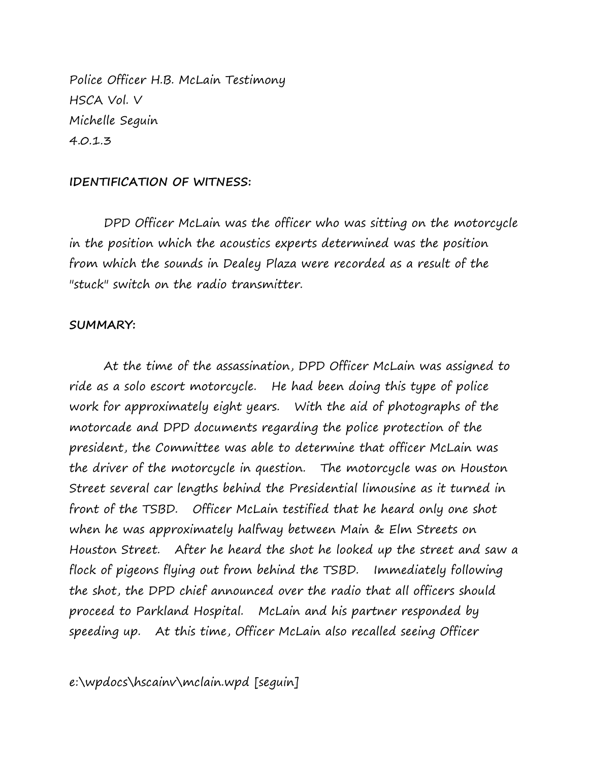Police Officer H.B. McLain Testimony HSCA Vol. V Michelle Seguin 4.0.1.3

## **IDENTIFICATION OF WITNESS:**

DPD Officer McLain was the officer who was sitting on the motorcycle in the position which the acoustics experts determined was the position from which the sounds in Dealey Plaza were recorded as a result of the "stuck" switch on the radio transmitter.

## **SUMMARY:**

At the time of the assassination, DPD Officer McLain was assigned to ride as a solo escort motorcycle. He had been doing this type of police work for approximately eight years. With the aid of photographs of the motorcade and DPD documents regarding the police protection of the president, the Committee was able to determine that officer McLain was the driver of the motorcycle in question. The motorcycle was on Houston Street several car lengths behind the Presidential limousine as it turned in front of the TSBD. Officer McLain testified that he heard only one shot when he was approximately halfway between Main & Elm Streets on Houston Street. After he heard the shot he looked up the street and saw a flock of pigeons flying out from behind the TSBD. Immediately following the shot, the DPD chief announced over the radio that all officers should proceed to Parkland Hospital. McLain and his partner responded by speeding up. At this time, Officer McLain also recalled seeing Officer

e:\wpdocs\hscainv\mclain.wpd [seguin]